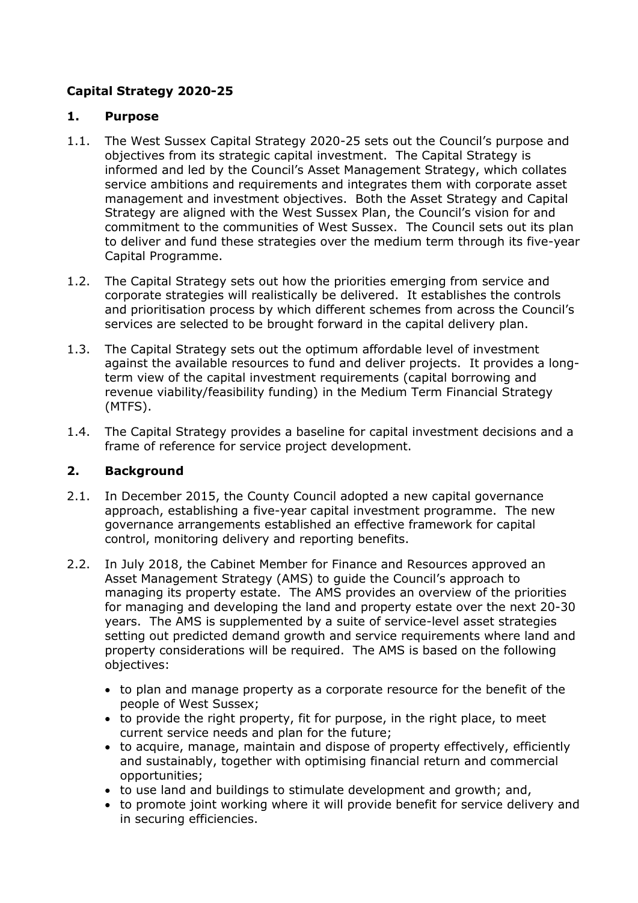# **Capital Strategy 2020-25**

### **1. Purpose**

- 1.1. The West Sussex Capital Strategy 2020-25 sets out the Council's purpose and objectives from its strategic capital investment. The Capital Strategy is informed and led by the Council's Asset Management Strategy, which collates service ambitions and requirements and integrates them with corporate asset management and investment objectives. Both the Asset Strategy and Capital Strategy are aligned with the West Sussex Plan, the Council's vision for and commitment to the communities of West Sussex. The Council sets out its plan to deliver and fund these strategies over the medium term through its five-year Capital Programme.
- 1.2. The Capital Strategy sets out how the priorities emerging from service and corporate strategies will realistically be delivered. It establishes the controls and prioritisation process by which different schemes from across the Council's services are selected to be brought forward in the capital delivery plan.
- 1.3. The Capital Strategy sets out the optimum affordable level of investment against the available resources to fund and deliver projects. It provides a longterm view of the capital investment requirements (capital borrowing and revenue viability/feasibility funding) in the Medium Term Financial Strategy (MTFS).
- 1.4. The Capital Strategy provides a baseline for capital investment decisions and a frame of reference for service project development.

# **2. Background**

- 2.1. In December 2015, the County Council adopted a new capital governance approach, establishing a five-year capital investment programme. The new governance arrangements established an effective framework for capital control, monitoring delivery and reporting benefits.
- 2.2. In July 2018, the Cabinet Member for Finance and Resources approved an Asset Management Strategy (AMS) to guide the Council's approach to managing its property estate. The AMS provides an overview of the priorities for managing and developing the land and property estate over the next 20-30 years. The AMS is supplemented by a suite of service-level asset strategies setting out predicted demand growth and service requirements where land and property considerations will be required. The AMS is based on the following objectives:
	- to plan and manage property as a corporate resource for the benefit of the people of West Sussex;
	- to provide the right property, fit for purpose, in the right place, to meet current service needs and plan for the future;
	- to acquire, manage, maintain and dispose of property effectively, efficiently and sustainably, together with optimising financial return and commercial opportunities;
	- to use land and buildings to stimulate development and growth; and,
	- to promote joint working where it will provide benefit for service delivery and in securing efficiencies.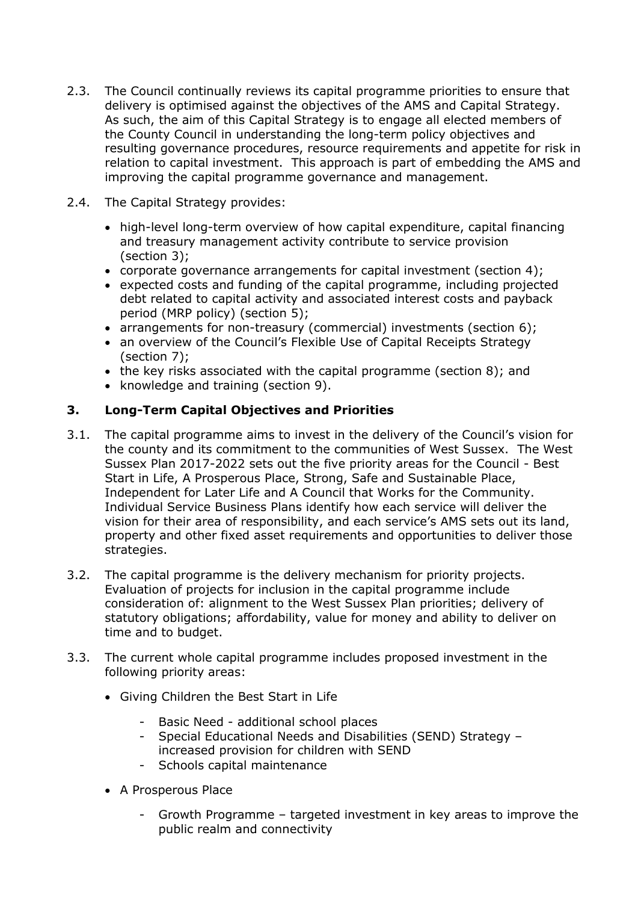- 2.3. The Council continually reviews its capital programme priorities to ensure that delivery is optimised against the objectives of the AMS and Capital Strategy. As such, the aim of this Capital Strategy is to engage all elected members of the County Council in understanding the long-term policy objectives and resulting governance procedures, resource requirements and appetite for risk in relation to capital investment. This approach is part of embedding the AMS and improving the capital programme governance and management.
- 2.4. The Capital Strategy provides:
	- high-level long-term overview of how capital expenditure, capital financing and treasury management activity contribute to service provision (section [3\)](#page-1-0);
	- corporate governance arrangements for capital investment (section [4\)](#page-3-0);
	- expected costs and funding of the capital programme, including projected debt related to capital activity and associated interest costs and payback period (MRP policy) (section [5\)](#page-4-0);
	- arrangements for non-treasury (commercial) investments (section [6\)](#page-7-0);
	- an overview of the Council's Flexible Use of Capital Receipts Strategy (section [7\)](#page-9-0);
	- the key risks associated with the capital programme (section [8\)](#page-9-1); and
	- knowledge and training (section [9\)](#page-10-0).

# <span id="page-1-0"></span>**3. Long-Term Capital Objectives and Priorities**

- 3.1. The capital programme aims to invest in the delivery of the Council's vision for the county and its commitment to the communities of West Sussex. The West Sussex Plan 2017-2022 sets out the five priority areas for the Council - Best Start in Life, A Prosperous Place, Strong, Safe and Sustainable Place, Independent for Later Life and A Council that Works for the Community. Individual Service Business Plans identify how each service will deliver the vision for their area of responsibility, and each service's AMS sets out its land, property and other fixed asset requirements and opportunities to deliver those strategies.
- 3.2. The capital programme is the delivery mechanism for priority projects. Evaluation of projects for inclusion in the capital programme include consideration of: alignment to the West Sussex Plan priorities; delivery of statutory obligations; affordability, value for money and ability to deliver on time and to budget.
- 3.3. The current whole capital programme includes proposed investment in the following priority areas:
	- Giving Children the Best Start in Life
		- Basic Need additional school places
		- Special Educational Needs and Disabilities (SEND) Strategy increased provision for children with SEND
		- Schools capital maintenance
	- A Prosperous Place
		- Growth Programme targeted investment in key areas to improve the public realm and connectivity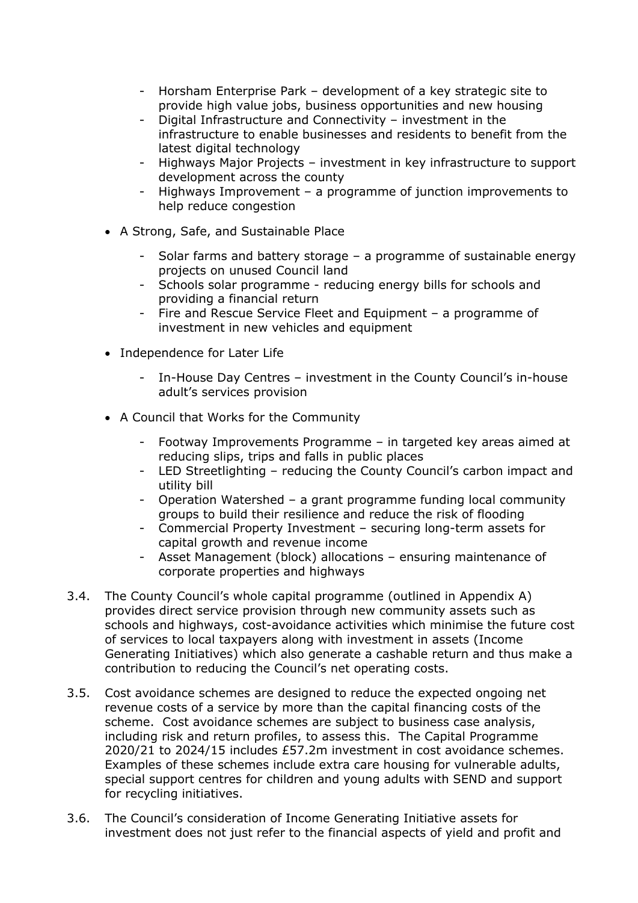- Horsham Enterprise Park development of a key strategic site to provide high value jobs, business opportunities and new housing
- Digital Infrastructure and Connectivity investment in the infrastructure to enable businesses and residents to benefit from the latest digital technology
- Highways Major Projects investment in key infrastructure to support development across the county
- Highways Improvement a programme of junction improvements to help reduce congestion
- A Strong, Safe, and Sustainable Place
	- Solar farms and battery storage a programme of sustainable energy projects on unused Council land
	- Schools solar programme reducing energy bills for schools and providing a financial return
	- Fire and Rescue Service Fleet and Equipment a programme of investment in new vehicles and equipment
- Independence for Later Life
	- In-House Day Centres investment in the County Council's in-house adult's services provision
- A Council that Works for the Community
	- Footway Improvements Programme in targeted key areas aimed at reducing slips, trips and falls in public places
	- LED Streetlighting reducing the County Council's carbon impact and utility bill
	- Operation Watershed a grant programme funding local community groups to build their resilience and reduce the risk of flooding
	- Commercial Property Investment securing long-term assets for capital growth and revenue income
	- Asset Management (block) allocations ensuring maintenance of corporate properties and highways
- 3.4. The County Council's whole capital programme (outlined in Appendix A) provides direct service provision through new community assets such as schools and highways, cost-avoidance activities which minimise the future cost of services to local taxpayers along with investment in assets (Income Generating Initiatives) which also generate a cashable return and thus make a contribution to reducing the Council's net operating costs.
- 3.5. Cost avoidance schemes are designed to reduce the expected ongoing net revenue costs of a service by more than the capital financing costs of the scheme. Cost avoidance schemes are subject to business case analysis, including risk and return profiles, to assess this. The Capital Programme 2020/21 to 2024/15 includes £57.2m investment in cost avoidance schemes. Examples of these schemes include extra care housing for vulnerable adults, special support centres for children and young adults with SEND and support for recycling initiatives.
- 3.6. The Council's consideration of Income Generating Initiative assets for investment does not just refer to the financial aspects of yield and profit and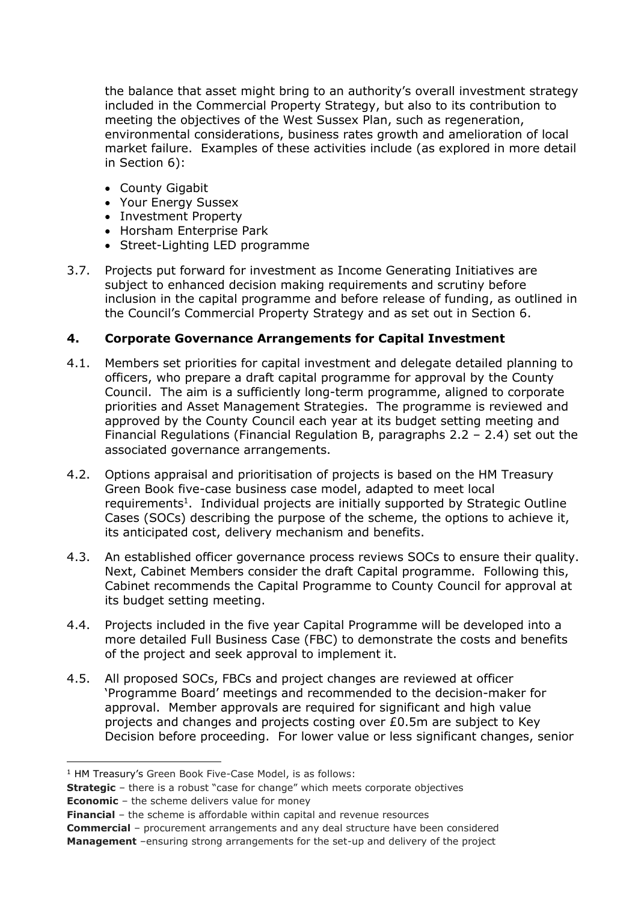the balance that asset might bring to an authority's overall investment strategy included in the Commercial Property Strategy, but also to its contribution to meeting the objectives of the West Sussex Plan, such as regeneration, environmental considerations, business rates growth and amelioration of local market failure. Examples of these activities include (as explored in more detail in Section [6\)](#page-7-0):

- County Gigabit
- Your Energy Sussex
- Investment Property
- Horsham Enterprise Park
- Street-Lighting LED programme
- 3.7. Projects put forward for investment as Income Generating Initiatives are subject to enhanced decision making requirements and scrutiny before inclusion in the capital programme and before release of funding, as outlined in the Council's Commercial Property Strategy and as set out in Section [6.](#page-7-0)

### <span id="page-3-0"></span>**4. Corporate Governance Arrangements for Capital Investment**

- 4.1. Members set priorities for capital investment and delegate detailed planning to officers, who prepare a draft capital programme for approval by the County Council. The aim is a sufficiently long-term programme, aligned to corporate priorities and Asset Management Strategies. The programme is reviewed and approved by the County Council each year at its budget setting meeting and Financial Regulations (Financial Regulation B, paragraphs 2.2 – 2.4) set out the associated governance arrangements.
- 4.2. Options appraisal and prioritisation of projects is based on the HM Treasury Green Book five-case business case model, adapted to meet local requirements<sup>1</sup>. Individual projects are initially supported by Strategic Outline Cases (SOCs) describing the purpose of the scheme, the options to achieve it, its anticipated cost, delivery mechanism and benefits.
- 4.3. An established officer governance process reviews SOCs to ensure their quality. Next, Cabinet Members consider the draft Capital programme. Following this, Cabinet recommends the Capital Programme to County Council for approval at its budget setting meeting.
- 4.4. Projects included in the five year Capital Programme will be developed into a more detailed Full Business Case (FBC) to demonstrate the costs and benefits of the project and seek approval to implement it.
- 4.5. All proposed SOCs, FBCs and project changes are reviewed at officer 'Programme Board' meetings and recommended to the decision-maker for approval. Member approvals are required for significant and high value projects and changes and projects costing over £0.5m are subject to Key Decision before proceeding. For lower value or less significant changes, senior

**Economic** – the scheme delivers value for money

**Commercial** – procurement arrangements and any deal structure have been considered **Management** –ensuring strong arrangements for the set-up and delivery of the project

<sup>1</sup> HM Treasury's Green Book Five-Case Model, is as follows:

**Strategic** – there is a robust "case for change" which meets corporate objectives

**Financial** – the scheme is affordable within capital and revenue resources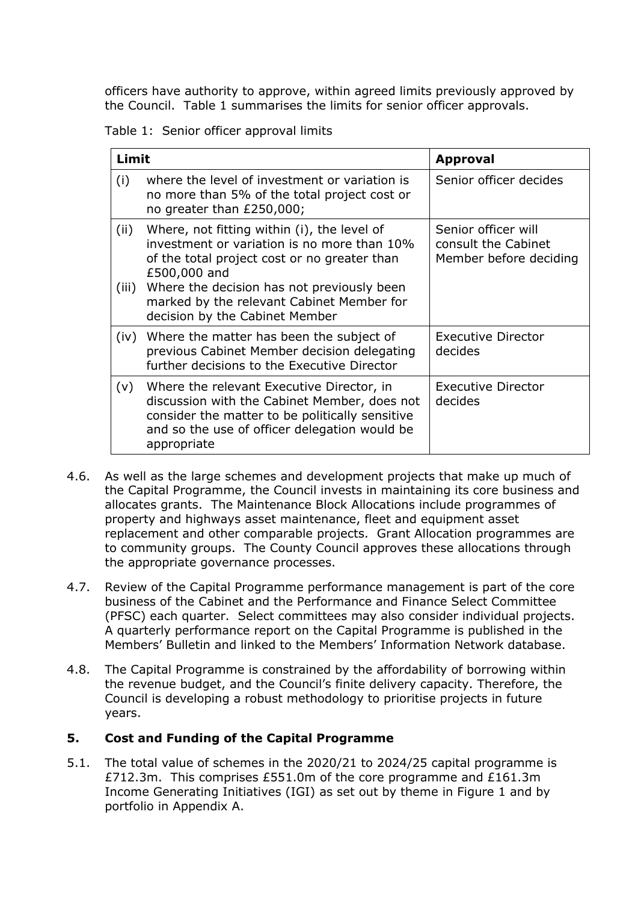officers have authority to approve, within agreed limits previously approved by the Council. Table 1 summarises the limits for senior officer approvals.

Table 1: Senior officer approval limits

| Limit         |                                                                                                                                                                                                                                                                                         | <b>Approval</b>                                                      |
|---------------|-----------------------------------------------------------------------------------------------------------------------------------------------------------------------------------------------------------------------------------------------------------------------------------------|----------------------------------------------------------------------|
| (i)           | where the level of investment or variation is<br>no more than 5% of the total project cost or<br>no greater than £250,000;                                                                                                                                                              | Senior officer decides                                               |
| (ii)<br>(iii) | Where, not fitting within (i), the level of<br>investment or variation is no more than 10%<br>of the total project cost or no greater than<br>£500,000 and<br>Where the decision has not previously been<br>marked by the relevant Cabinet Member for<br>decision by the Cabinet Member | Senior officer will<br>consult the Cabinet<br>Member before deciding |
| (iv)          | Where the matter has been the subject of<br>previous Cabinet Member decision delegating<br>further decisions to the Executive Director                                                                                                                                                  | <b>Executive Director</b><br>decides                                 |
| (v)           | Where the relevant Executive Director, in<br>discussion with the Cabinet Member, does not<br>consider the matter to be politically sensitive<br>and so the use of officer delegation would be<br>appropriate                                                                            | <b>Executive Director</b><br>decides                                 |

- 4.6. As well as the large schemes and development projects that make up much of the Capital Programme, the Council invests in maintaining its core business and allocates grants. The Maintenance Block Allocations include programmes of property and highways asset maintenance, fleet and equipment asset replacement and other comparable projects. Grant Allocation programmes are to community groups. The County Council approves these allocations through the appropriate governance processes.
- 4.7. Review of the Capital Programme performance management is part of the core business of the Cabinet and the Performance and Finance Select Committee (PFSC) each quarter. Select committees may also consider individual projects. A quarterly performance report on the Capital Programme is published in the Members' Bulletin and linked to the Members' Information Network database.
- 4.8. The Capital Programme is constrained by the affordability of borrowing within the revenue budget, and the Council's finite delivery capacity. Therefore, the Council is developing a robust methodology to prioritise projects in future years.

# <span id="page-4-0"></span>**5. Cost and Funding of the Capital Programme**

<span id="page-4-1"></span>5.1. The total value of schemes in the 2020/21 to 2024/25 capital programme is £712.3m. This comprises £551.0m of the core programme and £161.3m Income Generating Initiatives (IGI) as set out by theme in Figure 1 and by portfolio in Appendix A.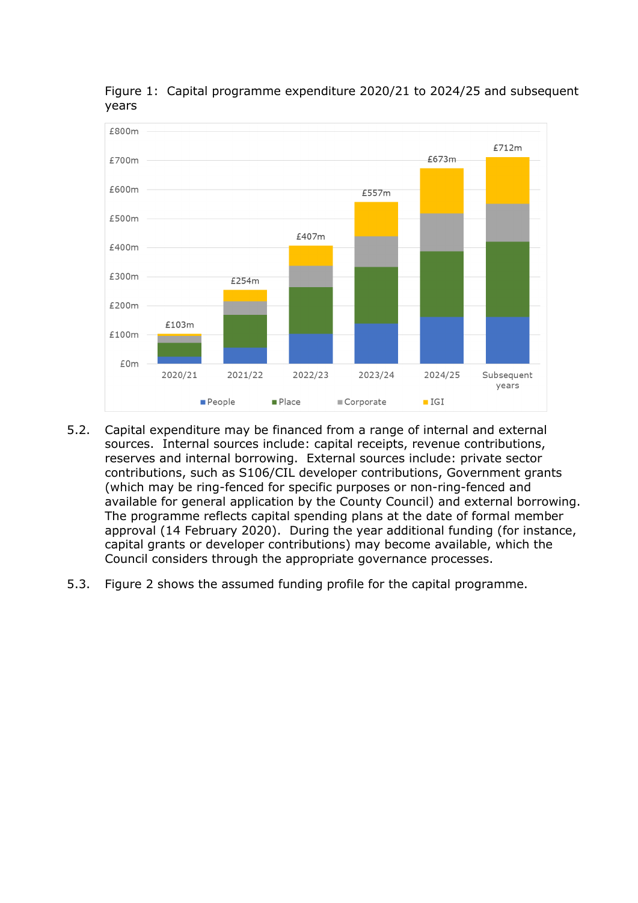

Figure 1: Capital programme expenditure 2020/21 to 2024/25 and subsequent years

- 5.2. Capital expenditure may be financed from a range of internal and external sources. Internal sources include: capital receipts, revenue contributions, reserves and internal borrowing. External sources include: private sector contributions, such as S106/CIL developer contributions, Government grants (which may be ring-fenced for specific purposes or non-ring-fenced and available for general application by the County Council) and external borrowing. The programme reflects capital spending plans at the date of formal member approval (14 February 2020). During the year additional funding (for instance, capital grants or developer contributions) may become available, which the Council considers through the appropriate governance processes.
- <span id="page-5-0"></span>5.3. Figure 2 shows the assumed funding profile for the capital programme.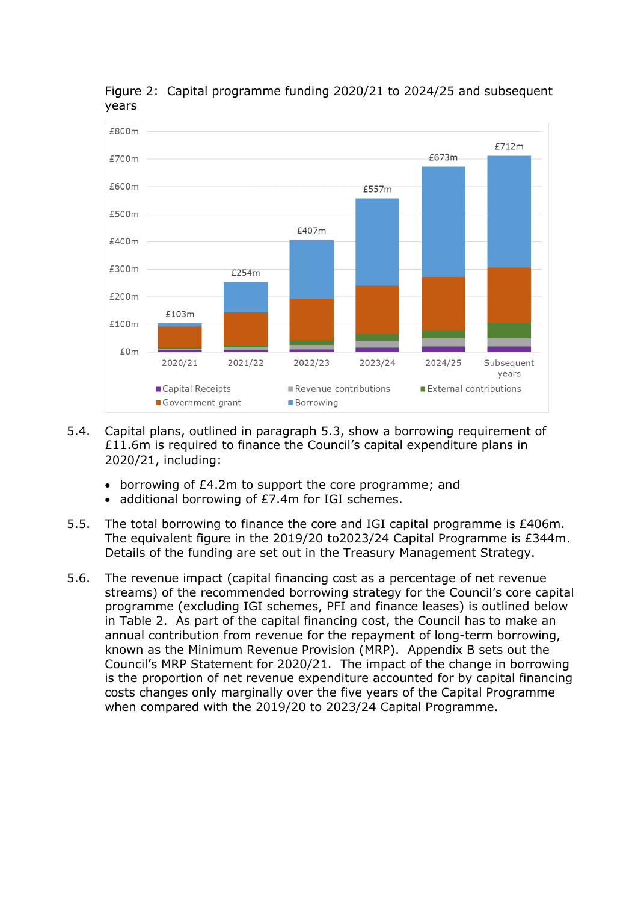

Figure 2: Capital programme funding 2020/21 to 2024/25 and subsequent years

- 5.4. Capital plans, outlined in paragraph [5.3,](#page-5-0) show a borrowing requirement of £11.6m is required to finance the Council's capital expenditure plans in 2020/21, including:
	- borrowing of £4.2m to support the core programme; and
	- additional borrowing of £7.4m for IGI schemes.
- 5.5. The total borrowing to finance the core and IGI capital programme is £406m. The equivalent figure in the 2019/20 to2023/24 Capital Programme is £344m. Details of the funding are set out in the Treasury Management Strategy.
- 5.6. The revenue impact (capital financing cost as a percentage of net revenue streams) of the recommended borrowing strategy for the Council's core capital programme (excluding IGI schemes, PFI and finance leases) is outlined below in Table 2. As part of the capital financing cost, the Council has to make an annual contribution from revenue for the repayment of long-term borrowing, known as the Minimum Revenue Provision (MRP). Appendix B sets out the Council's MRP Statement for 2020/21. The impact of the change in borrowing is the proportion of net revenue expenditure accounted for by capital financing costs changes only marginally over the five years of the Capital Programme when compared with the 2019/20 to 2023/24 Capital Programme.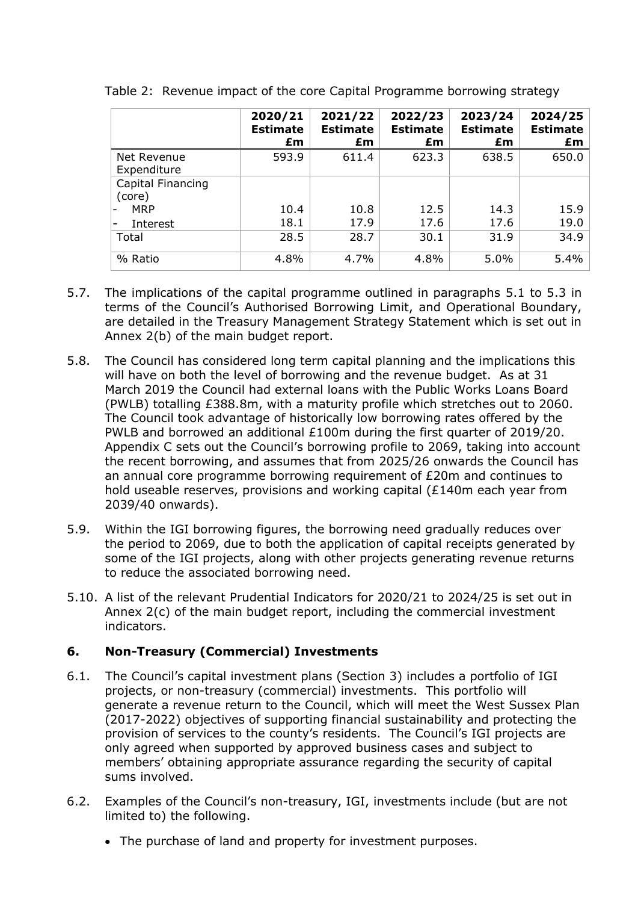|                             | 2020/21<br><b>Estimate</b><br>£m | 2021/22<br><b>Estimate</b><br>£m | 2022/23<br><b>Estimate</b><br>£m | 2023/24<br><b>Estimate</b><br>£m | 2024/25<br><b>Estimate</b><br>£m |
|-----------------------------|----------------------------------|----------------------------------|----------------------------------|----------------------------------|----------------------------------|
| Net Revenue<br>Expenditure  | 593.9                            | 611.4                            | 623.3                            | 638.5                            | 650.0                            |
| Capital Financing<br>(core) |                                  |                                  |                                  |                                  |                                  |
| <b>MRP</b>                  | 10.4                             | 10.8                             | 12.5                             | 14.3                             | 15.9                             |
| Interest                    | 18.1                             | 17.9                             | 17.6                             | 17.6                             | 19.0                             |
| Total                       | 28.5                             | 28.7                             | 30.1                             | 31.9                             | 34.9                             |
| % Ratio                     | 4.8%                             | 4.7%                             | 4.8%                             | 5.0%                             | 5.4%                             |

Table 2: Revenue impact of the core Capital Programme borrowing strategy

- 5.7. The implications of the capital programme outlined in paragraphs [5.1](#page-4-1) to [5.3](#page-5-0) in terms of the Council's Authorised Borrowing Limit, and Operational Boundary, are detailed in the Treasury Management Strategy Statement which is set out in Annex 2(b) of the main budget report.
- 5.8. The Council has considered long term capital planning and the implications this will have on both the level of borrowing and the revenue budget. As at 31 March 2019 the Council had external loans with the Public Works Loans Board (PWLB) totalling £388.8m, with a maturity profile which stretches out to 2060. The Council took advantage of historically low borrowing rates offered by the PWLB and borrowed an additional £100m during the first quarter of 2019/20. Appendix C sets out the Council's borrowing profile to 2069, taking into account the recent borrowing, and assumes that from 2025/26 onwards the Council has an annual core programme borrowing requirement of £20m and continues to hold useable reserves, provisions and working capital (£140m each year from 2039/40 onwards).
- 5.9. Within the IGI borrowing figures, the borrowing need gradually reduces over the period to 2069, due to both the application of capital receipts generated by some of the IGI projects, along with other projects generating revenue returns to reduce the associated borrowing need.
- 5.10. A list of the relevant Prudential Indicators for 2020/21 to 2024/25 is set out in Annex 2(c) of the main budget report, including the commercial investment indicators.

# <span id="page-7-0"></span>**6. Non-Treasury (Commercial) Investments**

- 6.1. The Council's capital investment plans (Section [3\)](#page-1-0) includes a portfolio of IGI projects, or non-treasury (commercial) investments. This portfolio will generate a revenue return to the Council, which will meet the West Sussex Plan (2017-2022) objectives of supporting financial sustainability and protecting the provision of services to the county's residents. The Council's IGI projects are only agreed when supported by approved business cases and subject to members' obtaining appropriate assurance regarding the security of capital sums involved.
- 6.2. Examples of the Council's non-treasury, IGI, investments include (but are not limited to) the following.
	- The purchase of land and property for investment purposes.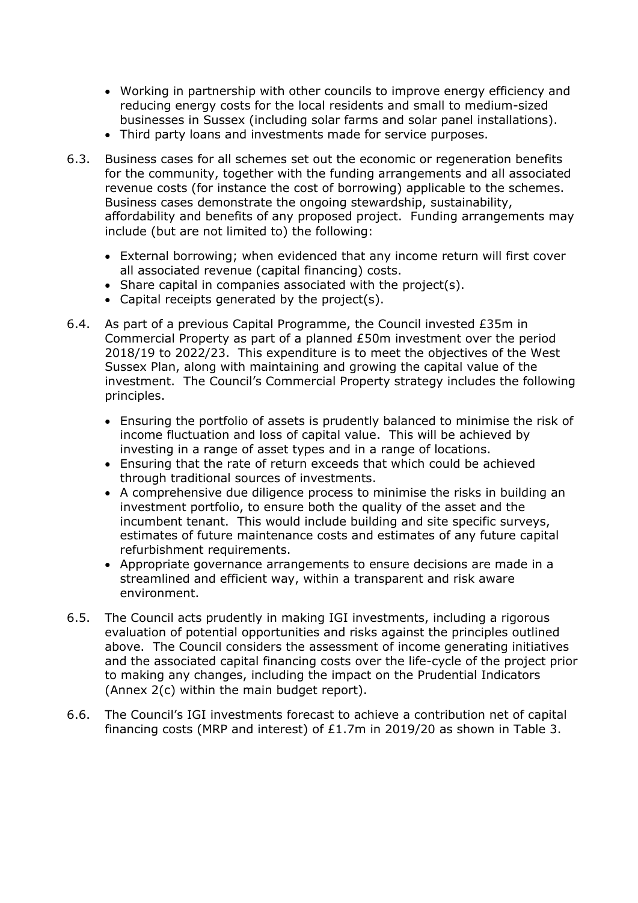- Working in partnership with other councils to improve energy efficiency and reducing energy costs for the local residents and small to medium-sized businesses in Sussex (including solar farms and solar panel installations).
- Third party loans and investments made for service purposes.
- 6.3. Business cases for all schemes set out the economic or regeneration benefits for the community, together with the funding arrangements and all associated revenue costs (for instance the cost of borrowing) applicable to the schemes. Business cases demonstrate the ongoing stewardship, sustainability, affordability and benefits of any proposed project. Funding arrangements may include (but are not limited to) the following:
	- External borrowing; when evidenced that any income return will first cover all associated revenue (capital financing) costs.
	- Share capital in companies associated with the project(s).
	- Capital receipts generated by the project(s).
- 6.4. As part of a previous Capital Programme, the Council invested £35m in Commercial Property as part of a planned £50m investment over the period 2018/19 to 2022/23. This expenditure is to meet the objectives of the West Sussex Plan, along with maintaining and growing the capital value of the investment. The Council's Commercial Property strategy includes the following principles.
	- Ensuring the portfolio of assets is prudently balanced to minimise the risk of income fluctuation and loss of capital value. This will be achieved by investing in a range of asset types and in a range of locations.
	- Ensuring that the rate of return exceeds that which could be achieved through traditional sources of investments.
	- A comprehensive due diligence process to minimise the risks in building an investment portfolio, to ensure both the quality of the asset and the incumbent tenant. This would include building and site specific surveys, estimates of future maintenance costs and estimates of any future capital refurbishment requirements.
	- Appropriate governance arrangements to ensure decisions are made in a streamlined and efficient way, within a transparent and risk aware environment.
- 6.5. The Council acts prudently in making IGI investments, including a rigorous evaluation of potential opportunities and risks against the principles outlined above. The Council considers the assessment of income generating initiatives and the associated capital financing costs over the life-cycle of the project prior to making any changes, including the impact on the Prudential Indicators (Annex 2(c) within the main budget report).
- 6.6. The Council's IGI investments forecast to achieve a contribution net of capital financing costs (MRP and interest) of £1.7m in 2019/20 as shown in Table 3.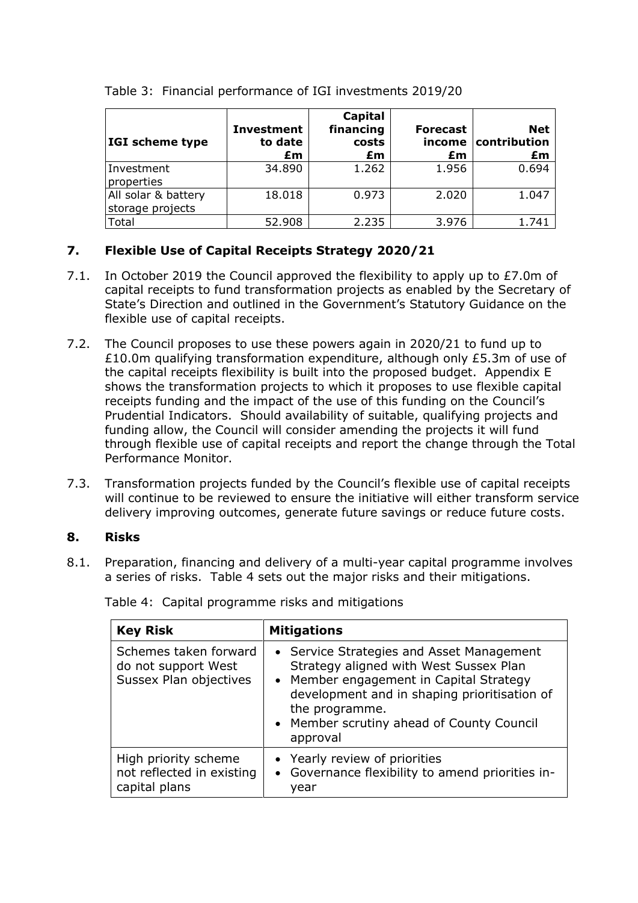| IGI scheme type                         | <b>Investment</b><br>to date<br>£m | Capital<br>financing<br>costs<br>£m | <b>Forecast</b><br>income<br>£m | <b>Net</b><br>contribution<br>£m |
|-----------------------------------------|------------------------------------|-------------------------------------|---------------------------------|----------------------------------|
| Investment<br>properties                | 34.890                             | 1.262                               | 1.956                           | 0.694                            |
| All solar & battery<br>storage projects | 18.018                             | 0.973                               | 2.020                           | 1.047                            |
| Total                                   | 52.908                             | 2.235                               | 3.976                           | 1.741                            |

Table 3: Financial performance of IGI investments 2019/20

# <span id="page-9-0"></span>**7. Flexible Use of Capital Receipts Strategy 2020/21**

- 7.1. In October 2019 the Council approved the flexibility to apply up to £7.0m of capital receipts to fund transformation projects as enabled by the Secretary of State's Direction and outlined in the Government's Statutory Guidance on the flexible use of capital receipts.
- 7.2. The Council proposes to use these powers again in 2020/21 to fund up to £10.0m qualifying transformation expenditure, although only £5.3m of use of the capital receipts flexibility is built into the proposed budget. Appendix E shows the transformation projects to which it proposes to use flexible capital receipts funding and the impact of the use of this funding on the Council's Prudential Indicators. Should availability of suitable, qualifying projects and funding allow, the Council will consider amending the projects it will fund through flexible use of capital receipts and report the change through the Total Performance Monitor.
- 7.3. Transformation projects funded by the Council's flexible use of capital receipts will continue to be reviewed to ensure the initiative will either transform service delivery improving outcomes, generate future savings or reduce future costs.

# <span id="page-9-1"></span>**8. Risks**

8.1. Preparation, financing and delivery of a multi-year capital programme involves a series of risks. Table 4 sets out the major risks and their mitigations.

| <b>Key Risk</b>                                                        | <b>Mitigations</b>                                                                                                                                                                                                                                        |
|------------------------------------------------------------------------|-----------------------------------------------------------------------------------------------------------------------------------------------------------------------------------------------------------------------------------------------------------|
| Schemes taken forward<br>do not support West<br>Sussex Plan objectives | • Service Strategies and Asset Management<br>Strategy aligned with West Sussex Plan<br>• Member engagement in Capital Strategy<br>development and in shaping prioritisation of<br>the programme.<br>• Member scrutiny ahead of County Council<br>approval |
| High priority scheme<br>not reflected in existing<br>capital plans     | • Yearly review of priorities<br>• Governance flexibility to amend priorities in-<br>vear                                                                                                                                                                 |

Table 4: Capital programme risks and mitigations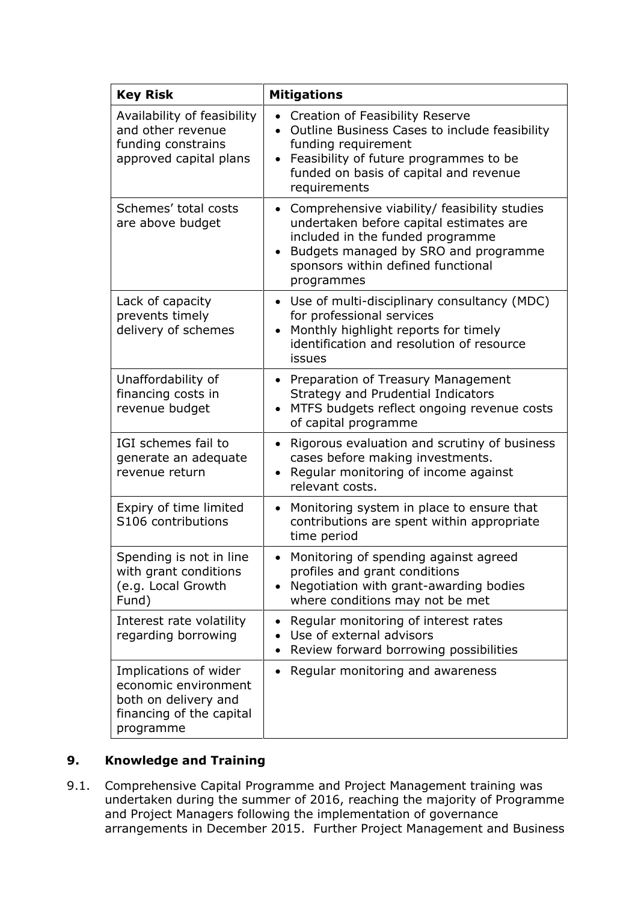| <b>Key Risk</b>                                                                                                | <b>Mitigations</b>                                                                                                                                                                                                        |
|----------------------------------------------------------------------------------------------------------------|---------------------------------------------------------------------------------------------------------------------------------------------------------------------------------------------------------------------------|
| Availability of feasibility<br>and other revenue<br>funding constrains<br>approved capital plans               | Creation of Feasibility Reserve<br>$\bullet$<br>Outline Business Cases to include feasibility<br>funding requirement<br>Feasibility of future programmes to be<br>funded on basis of capital and revenue<br>requirements  |
| Schemes' total costs<br>are above budget                                                                       | Comprehensive viability/ feasibility studies<br>undertaken before capital estimates are<br>included in the funded programme<br>• Budgets managed by SRO and programme<br>sponsors within defined functional<br>programmes |
| Lack of capacity<br>prevents timely<br>delivery of schemes                                                     | Use of multi-disciplinary consultancy (MDC)<br>$\bullet$<br>for professional services<br>Monthly highlight reports for timely<br>identification and resolution of resource<br>issues                                      |
| Unaffordability of<br>financing costs in<br>revenue budget                                                     | Preparation of Treasury Management<br>$\bullet$<br>Strategy and Prudential Indicators<br>MTFS budgets reflect ongoing revenue costs<br>of capital programme                                                               |
| IGI schemes fail to<br>generate an adequate<br>revenue return                                                  | Rigorous evaluation and scrutiny of business<br>$\bullet$<br>cases before making investments.<br>Regular monitoring of income against<br>relevant costs.                                                                  |
| Expiry of time limited<br>S106 contributions                                                                   | Monitoring system in place to ensure that<br>contributions are spent within appropriate<br>time period                                                                                                                    |
| Spending is not in line<br>with grant conditions<br>(e.g. Local Growth<br>Fund)                                | Monitoring of spending against agreed<br>profiles and grant conditions<br>Negotiation with grant-awarding bodies<br>where conditions may not be met                                                                       |
| Interest rate volatility<br>regarding borrowing                                                                | Regular monitoring of interest rates<br>٠<br>Use of external advisors<br>Review forward borrowing possibilities                                                                                                           |
| Implications of wider<br>economic environment<br>both on delivery and<br>financing of the capital<br>programme | Regular monitoring and awareness                                                                                                                                                                                          |

# <span id="page-10-0"></span>**9. Knowledge and Training**

9.1. Comprehensive Capital Programme and Project Management training was undertaken during the summer of 2016, reaching the majority of Programme and Project Managers following the implementation of governance arrangements in December 2015. Further Project Management and Business